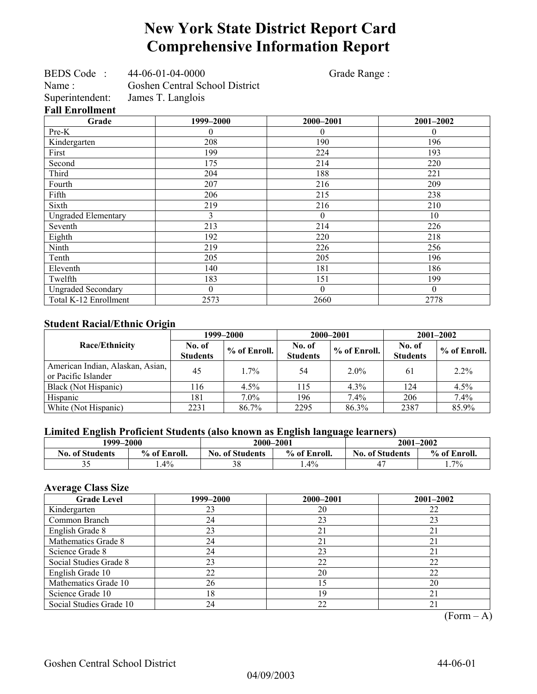# **New York State District Report Card Comprehensive Information Report**

| BEDS Code:                 | 44-06-01-04-0000               | Grade Range:     |              |
|----------------------------|--------------------------------|------------------|--------------|
| Name:                      | Goshen Central School District |                  |              |
| Superintendent:            | James T. Langlois              |                  |              |
| <b>Fall Enrollment</b>     |                                |                  |              |
| Grade                      | 1999-2000                      | 2000-2001        | 2001-2002    |
| Pre-K                      | 0                              | 0                | $\theta$     |
| Kindergarten               | 208                            | 190              | 196          |
| First                      | 199                            | 224              | 193          |
| Second                     | 175                            | 214              | 220          |
| Third                      | 204                            | 188              | 221          |
| Fourth                     | 207                            | 216              | 209          |
| Fifth                      | 206                            | 215              | 238          |
| Sixth                      | 219                            | 216              | 210          |
| <b>Ungraded Elementary</b> | 3                              | $\theta$         | 10           |
| Seventh                    | 213                            | 214              | 226          |
| Eighth                     | 192                            | 220              | 218          |
| Ninth                      | 219                            | 226              | 256          |
| Tenth                      | 205                            | 205              | 196          |
| Eleventh                   | 140                            | 181              | 186          |
| Twelfth                    | 183                            | 151              | 199          |
| <b>Ungraded Secondary</b>  | $\overline{0}$                 | $\boldsymbol{0}$ | $\mathbf{0}$ |
| Total K-12 Enrollment      | 2573                           | 2660             | 2778         |

### **Student Racial/Ethnic Origin**

| ັ                                                       | 1999–2000                 |              |                           | 2000-2001    | $2001 - 2002$             |              |
|---------------------------------------------------------|---------------------------|--------------|---------------------------|--------------|---------------------------|--------------|
| Race/Ethnicity                                          | No. of<br><b>Students</b> | % of Enroll. | No. of<br><b>Students</b> | % of Enroll. | No. of<br><b>Students</b> | % of Enroll. |
| American Indian, Alaskan, Asian,<br>or Pacific Islander | 45                        | $1.7\%$      | 54                        | $2.0\%$      | 61                        | 2.2%         |
| Black (Not Hispanic)                                    | l 16                      | $4.5\%$      | 115                       | $4.3\%$      | 124                       | 4.5%         |
| Hispanic                                                | 181                       | $7.0\%$      | 196                       | $7.4\%$      | 206                       | 7.4%         |
| White (Not Hispanic)                                    | 2231                      | 86.7%        | 2295                      | 86.3%        | 2387                      | 85.9%        |

### **Limited English Proficient Students (also known as English language learners)**

|                        | 1999–2000    |                                        | 2000-2001 | 2001-2002              |              |  |
|------------------------|--------------|----------------------------------------|-----------|------------------------|--------------|--|
| <b>No. of Students</b> | % of Enroll. | % of Enroll.<br><b>No. of Students</b> |           | <b>No. of Students</b> | % of Enroll. |  |
| ◡                      | $.4\%$       | 38                                     | $1.4\%$   |                        | $1.7\%$      |  |

### **Average Class Size**

| <b>Grade Level</b>      | 1999–2000 | 2000-2001 | 2001-2002 |
|-------------------------|-----------|-----------|-----------|
| Kindergarten            | 23        | 20        | 22        |
| Common Branch           | 24        | 23        | 23        |
| English Grade 8         | 23        | 21        | 21        |
| Mathematics Grade 8     | 24        | 21        | 21        |
| Science Grade 8         | 24        | 23        | 21        |
| Social Studies Grade 8  | 23        | 22        | 22        |
| English Grade 10        | 22        | 20        | 22        |
| Mathematics Grade 10    | 26        | 15        | 20        |
| Science Grade 10        | 18        | 19        | 21        |
| Social Studies Grade 10 | 24        | 22        | 21        |

 $(Form – A)$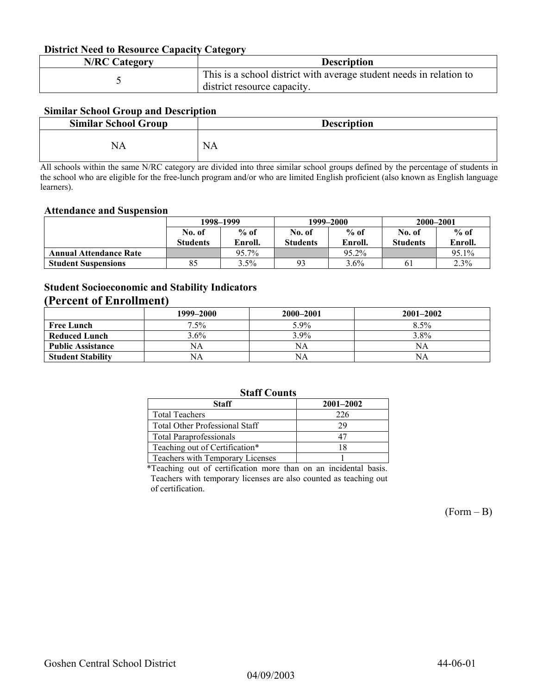#### **District Need to Resource Capacity Category**

| <b>N/RC Category</b> | <b>Description</b>                                                                                 |
|----------------------|----------------------------------------------------------------------------------------------------|
|                      | This is a school district with average student needs in relation to<br>district resource capacity. |

### **Similar School Group and Description**

| <b>Similar School Group</b> | <b>Description</b> |
|-----------------------------|--------------------|
| NА                          | <b>NA</b>          |

All schools within the same N/RC category are divided into three similar school groups defined by the percentage of students in the school who are eligible for the free-lunch program and/or who are limited English proficient (also known as English language learners).

#### **Attendance and Suspension**

|                               | 1998–1999       |         |                 | 1999–2000 | 2000-2001       |         |
|-------------------------------|-----------------|---------|-----------------|-----------|-----------------|---------|
|                               | No. of          | $%$ of  | No. of          | $%$ of    | No. of          | $%$ of  |
|                               | <b>Students</b> | Enroll. | <b>Students</b> | Enroll.   | <b>Students</b> | Enroll. |
| <b>Annual Attendance Rate</b> |                 | 95.7%   |                 | 95.2%     |                 | 95.1%   |
| <b>Student Suspensions</b>    | 85              | $3.5\%$ | 93              | $3.6\%$   | 61              | 2.3%    |

### **Student Socioeconomic and Stability Indicators**

### **(Percent of Enrollment)**

|                          | 1999–2000 | 2000-2001 | $2001 - 2002$ |
|--------------------------|-----------|-----------|---------------|
| <b>Free Lunch</b>        | $7.5\%$   | 5.9%      | 8.5%          |
| <b>Reduced Lunch</b>     | $3.6\%$   | $3.9\%$   | 3.8%          |
| <b>Public Assistance</b> | NA        | NA        | NA            |
| <b>Student Stability</b> | NA        | NA        | NA            |

### **Staff Counts**

| Staff                            | $2001 - 2002$ |  |  |  |  |
|----------------------------------|---------------|--|--|--|--|
| <b>Total Teachers</b>            | 226           |  |  |  |  |
| Total Other Professional Staff   | 29            |  |  |  |  |
| <b>Total Paraprofessionals</b>   |               |  |  |  |  |
| Teaching out of Certification*   | 18            |  |  |  |  |
| Teachers with Temporary Licenses |               |  |  |  |  |
|                                  |               |  |  |  |  |

\*Teaching out of certification more than on an incidental basis. Teachers with temporary licenses are also counted as teaching out of certification.

 $(Form - B)$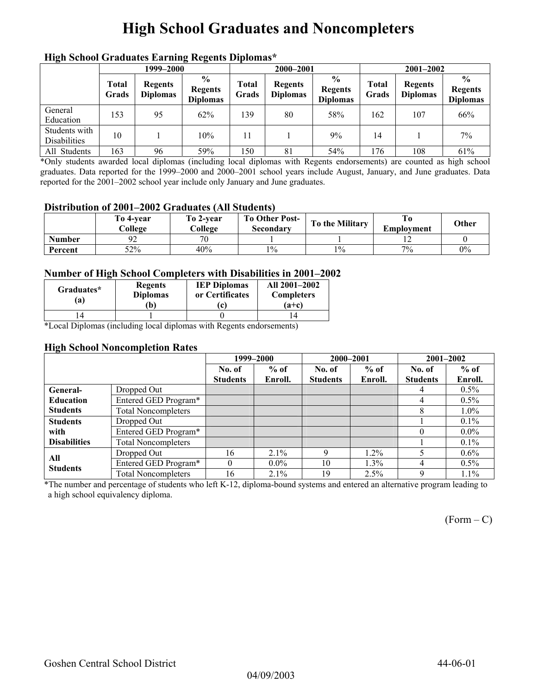# **High School Graduates and Noncompleters**

|                                      | men senoor Graaaates Larming regents Dipromas<br>1999–2000 |                                   |                                                    |                | 2000-2001                         |                                                    |                | $2001 - 2002$                     |                                                    |
|--------------------------------------|------------------------------------------------------------|-----------------------------------|----------------------------------------------------|----------------|-----------------------------------|----------------------------------------------------|----------------|-----------------------------------|----------------------------------------------------|
|                                      | <b>Total</b><br>Grads                                      | <b>Regents</b><br><b>Diplomas</b> | $\frac{6}{9}$<br><b>Regents</b><br><b>Diplomas</b> | Total<br>Grads | <b>Regents</b><br><b>Diplomas</b> | $\frac{0}{0}$<br><b>Regents</b><br><b>Diplomas</b> | Total<br>Grads | <b>Regents</b><br><b>Diplomas</b> | $\frac{6}{9}$<br><b>Regents</b><br><b>Diplomas</b> |
| General<br>Education                 | 153                                                        | 95                                | 62%                                                | 139            | 80                                | 58%                                                | 162            | 107                               | 66%                                                |
| Students with<br><b>Disabilities</b> | 10                                                         |                                   | 10%                                                | 11             |                                   | $9\%$                                              | 14             |                                   | 7%                                                 |
| All Students                         | 163                                                        | 96                                | 59%                                                | 150            | 81                                | 54%                                                | 176            | 108                               | 61%                                                |

### **High School Graduates Earning Regents Diplomas\***

\*Only students awarded local diplomas (including local diplomas with Regents endorsements) are counted as high school graduates. Data reported for the 1999–2000 and 2000–2001 school years include August, January, and June graduates. Data reported for the 2001–2002 school year include only January and June graduates.

#### **Distribution of 2001–2002 Graduates (All Students)**

|               | To 4-vear<br>College | To 2-year<br>College | <b>To Other Post-</b><br>Secondary | To the Military | Emplovment | Other |
|---------------|----------------------|----------------------|------------------------------------|-----------------|------------|-------|
| <b>Number</b> |                      | 70                   |                                    |                 |            |       |
| Percent       | 52%                  | 40%                  | $1\%$                              | $1\%$           | $7\%$      | $0\%$ |

#### **Number of High School Completers with Disabilities in 2001–2002**

| Graduates*<br>(a) | <b>Regents</b><br><b>Diplomas</b><br>b) | <b>IEP Diplomas</b><br>or Certificates<br>(c) | All 2001-2002<br><b>Completers</b><br>$(a+c)$ |
|-------------------|-----------------------------------------|-----------------------------------------------|-----------------------------------------------|
|                   |                                         |                                               |                                               |

\*Local Diplomas (including local diplomas with Regents endorsements)

#### **High School Noncompletion Rates**

|                     |                            |                 | 1999-2000 | 2000-2001       |         |                 | 2001-2002 |  |
|---------------------|----------------------------|-----------------|-----------|-----------------|---------|-----------------|-----------|--|
|                     |                            | No. of          | $%$ of    | No. of          | $%$ of  | No. of          | $%$ of    |  |
|                     |                            | <b>Students</b> | Enroll.   | <b>Students</b> | Enroll. | <b>Students</b> | Enroll.   |  |
| General-            | Dropped Out                |                 |           |                 |         | 4               | $0.5\%$   |  |
| <b>Education</b>    | Entered GED Program*       |                 |           |                 |         | 4               | $0.5\%$   |  |
| <b>Students</b>     | <b>Total Noncompleters</b> |                 |           |                 |         | 8               | 1.0%      |  |
| <b>Students</b>     | Dropped Out                |                 |           |                 |         |                 | $0.1\%$   |  |
| with                | Entered GED Program*       |                 |           |                 |         | $\theta$        | $0.0\%$   |  |
| <b>Disabilities</b> | <b>Total Noncompleters</b> |                 |           |                 |         |                 | $0.1\%$   |  |
| All                 | Dropped Out                | 16              | 2.1%      | Q               | 1.2%    |                 | $0.6\%$   |  |
| <b>Students</b>     | Entered GED Program*       |                 | $0.0\%$   | 10              | $1.3\%$ | 4               | $0.5\%$   |  |
|                     | <b>Total Noncompleters</b> | 16              | $2.1\%$   | 19              | $2.5\%$ | Q               | $1.1\%$   |  |

\*The number and percentage of students who left K-12, diploma-bound systems and entered an alternative program leading to a high school equivalency diploma.

 $(Form - C)$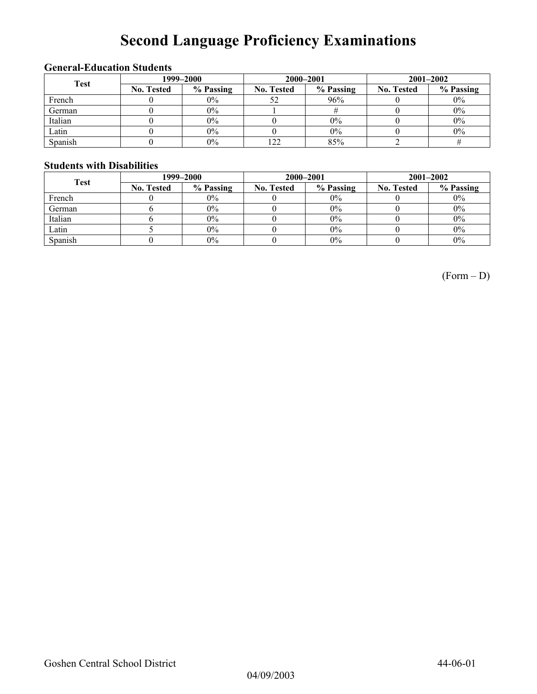# **Second Language Proficiency Examinations**

### **General-Education Students**

| <b>Test</b> | 1999–2000         |           |                   | 2000-2001 | $2001 - 2002$     |           |  |
|-------------|-------------------|-----------|-------------------|-----------|-------------------|-----------|--|
|             | <b>No. Tested</b> | % Passing | <b>No. Tested</b> | % Passing | <b>No. Tested</b> | % Passing |  |
| French      |                   | $0\%$     | 52                | 96%       |                   | $0\%$     |  |
| German      |                   | 0%        |                   |           |                   | $0\%$     |  |
| Italian     |                   | 0%        |                   | 0%        |                   | $0\%$     |  |
| Latin       |                   | $0\%$     |                   | 0%        |                   | $0\%$     |  |
| Spanish     |                   | $0\%$     | 122               | 85%       |                   |           |  |

#### **Students with Disabilities**

| <b>Test</b> | 1999–2000         |           |                   | 2000-2001 | $2001 - 2002$     |           |  |
|-------------|-------------------|-----------|-------------------|-----------|-------------------|-----------|--|
|             | <b>No. Tested</b> | % Passing | <b>No. Tested</b> | % Passing | <b>No. Tested</b> | % Passing |  |
| French      |                   | $0\%$     |                   | $0\%$     |                   | $0\%$     |  |
| German      |                   | $0\%$     |                   | $0\%$     |                   | $0\%$     |  |
| Italian     |                   | $0\%$     |                   | $0\%$     |                   | $0\%$     |  |
| Latin       |                   | $0\%$     |                   | $0\%$     |                   | $0\%$     |  |
| Spanish     |                   | $0\%$     |                   | $0\%$     |                   | $0\%$     |  |

(Form – D)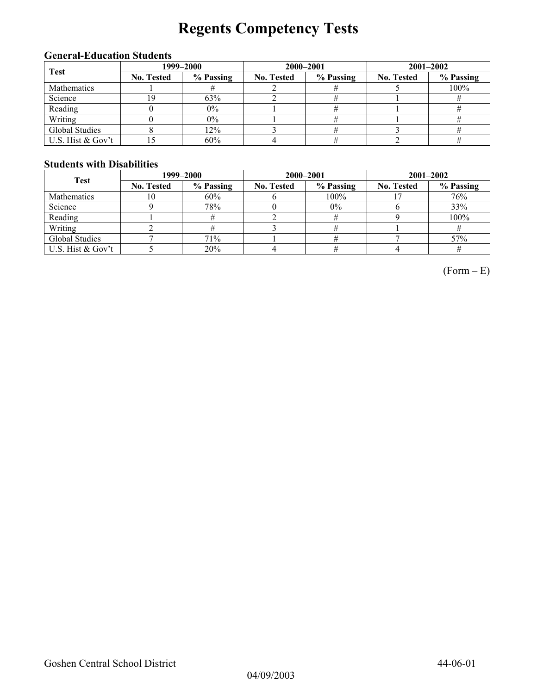# **Regents Competency Tests**

### **General-Education Students**

| Test               | 1999–2000         |           |                   | 2000-2001 | $2001 - 2002$     |           |  |
|--------------------|-------------------|-----------|-------------------|-----------|-------------------|-----------|--|
|                    | <b>No. Tested</b> | % Passing | <b>No. Tested</b> | % Passing | <b>No. Tested</b> | % Passing |  |
| <b>Mathematics</b> |                   |           |                   |           |                   | 100%      |  |
| Science            | 19                | 63%       |                   |           |                   |           |  |
| Reading            |                   | $0\%$     |                   |           |                   |           |  |
| Writing            |                   | 0%        |                   |           |                   |           |  |
| Global Studies     |                   | 12%       |                   |           |                   |           |  |
| U.S. Hist & Gov't  |                   | 60%       |                   |           |                   |           |  |

### **Students with Disabilities**

| <b>Test</b>        | 1999–2000         |           |                   | 2000-2001 | $2001 - 2002$     |           |  |
|--------------------|-------------------|-----------|-------------------|-----------|-------------------|-----------|--|
|                    | <b>No. Tested</b> | % Passing | <b>No. Tested</b> | % Passing | <b>No. Tested</b> | % Passing |  |
| <b>Mathematics</b> | 10                | 60%       |                   | $100\%$   |                   | 76%       |  |
| Science            |                   | 78%       |                   | $0\%$     |                   | 33%       |  |
| Reading            |                   |           |                   |           |                   | 100%      |  |
| Writing            |                   |           |                   |           |                   |           |  |
| Global Studies     |                   | 71%       |                   |           |                   | 57%       |  |
| U.S. Hist & Gov't  |                   | 20%       |                   |           |                   |           |  |

 $(Form - E)$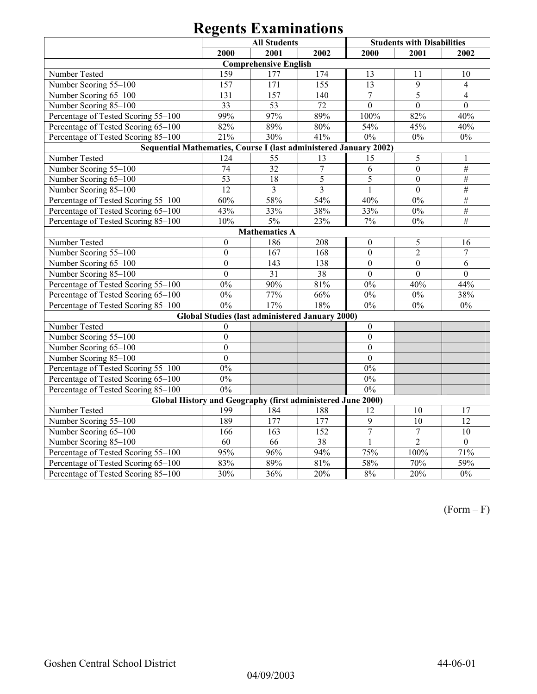| <b>All Students</b>                                               |                                                             |                              |                                                        |                  | <b>Students with Disabilities</b> |                  |  |  |  |
|-------------------------------------------------------------------|-------------------------------------------------------------|------------------------------|--------------------------------------------------------|------------------|-----------------------------------|------------------|--|--|--|
|                                                                   | 2000                                                        | 2001                         | 2002                                                   | 2000             | 2001                              | 2002             |  |  |  |
|                                                                   |                                                             | <b>Comprehensive English</b> |                                                        |                  |                                   |                  |  |  |  |
| Number Tested                                                     | 159                                                         | 177                          | 174                                                    | 13               | 11                                | 10               |  |  |  |
| Number Scoring 55-100                                             | 157                                                         | 171                          | 155                                                    | 13               | 9                                 | $\overline{4}$   |  |  |  |
| Number Scoring 65-100                                             | 131                                                         | 157                          | 140                                                    | $\overline{7}$   | 5                                 | $\overline{4}$   |  |  |  |
| Number Scoring 85-100                                             | $\overline{33}$                                             | 53                           | 72                                                     | $\mathbf{0}$     | $\mathbf{0}$                      | $\mathbf{0}$     |  |  |  |
| Percentage of Tested Scoring 55-100                               | 99%                                                         | 97%                          | 89%                                                    | 100%             | 82%                               | 40%              |  |  |  |
| Percentage of Tested Scoring 65-100                               | 82%                                                         | 89%                          | 80%                                                    | 54%              | 45%                               | 40%              |  |  |  |
| Percentage of Tested Scoring 85-100                               | 21%                                                         | 30%                          | 41%                                                    | $0\%$            | $0\%$                             | $0\%$            |  |  |  |
| Sequential Mathematics, Course I (last administered January 2002) |                                                             |                              |                                                        |                  |                                   |                  |  |  |  |
| Number Tested                                                     | 124                                                         | 55                           | 13                                                     | 15               | 5                                 | 1                |  |  |  |
| Number Scoring 55-100                                             | 74                                                          | $\overline{32}$              | $\overline{7}$                                         | 6                | $\overline{0}$                    | $\overline{\#}$  |  |  |  |
| Number Scoring 65-100                                             | 53                                                          | 18                           | $\overline{5}$                                         | 5                | $\overline{0}$                    | $\overline{\#}$  |  |  |  |
| Number Scoring 85-100                                             | 12                                                          | $\overline{3}$               | $\overline{3}$                                         | $\mathbf{1}$     | $\mathbf{0}$                      | $\#$             |  |  |  |
| Percentage of Tested Scoring 55-100                               | 60%                                                         | 58%                          | 54%                                                    | 40%              | $0\%$                             | $\overline{\#}$  |  |  |  |
| Percentage of Tested Scoring 65-100                               | 43%                                                         | 33%                          | 38%                                                    | 33%              | $0\%$                             | $\#$             |  |  |  |
| Percentage of Tested Scoring 85-100                               | 10%                                                         | 5%                           | 23%                                                    | 7%               | $0\%$                             | $\overline{\#}$  |  |  |  |
| <b>Mathematics A</b>                                              |                                                             |                              |                                                        |                  |                                   |                  |  |  |  |
| Number Tested                                                     | $\boldsymbol{0}$                                            | 186                          | 208                                                    | $\boldsymbol{0}$ | 5                                 | 16               |  |  |  |
| Number Scoring 55-100                                             | $\overline{0}$                                              | 167                          | 168                                                    | $\overline{0}$   | $\overline{2}$                    | $\overline{7}$   |  |  |  |
| Number Scoring 65-100                                             | $\overline{0}$                                              | 143                          | 138                                                    | $\mathbf{0}$     | $\mathbf{0}$                      | 6                |  |  |  |
| Number Scoring 85-100                                             | $\overline{0}$                                              | 31                           | 38                                                     | $\overline{0}$   | $\overline{0}$                    | $\boldsymbol{0}$ |  |  |  |
| Percentage of Tested Scoring 55-100                               | $0\%$                                                       | 90%                          | 81%                                                    | $0\%$            | 40%                               | 44%              |  |  |  |
| Percentage of Tested Scoring 65-100                               | 0%                                                          | 77%                          | 66%                                                    | $0\%$            | $0\%$                             | 38%              |  |  |  |
| Percentage of Tested Scoring 85-100                               | 0%                                                          | 17%                          | 18%                                                    | $0\%$            | $0\%$                             | $0\%$            |  |  |  |
|                                                                   |                                                             |                              | <b>Global Studies (last administered January 2000)</b> |                  |                                   |                  |  |  |  |
| Number Tested                                                     | $\boldsymbol{0}$                                            |                              |                                                        | $\mathbf{0}$     |                                   |                  |  |  |  |
| Number Scoring 55-100                                             | $\mathbf{0}$                                                |                              |                                                        | $\boldsymbol{0}$ |                                   |                  |  |  |  |
| Number Scoring 65-100                                             | $\overline{0}$                                              |                              |                                                        | $\mathbf{0}$     |                                   |                  |  |  |  |
| Number Scoring 85-100                                             | $\overline{0}$                                              |                              |                                                        | $\overline{0}$   |                                   |                  |  |  |  |
| Percentage of Tested Scoring 55-100                               | $0\%$                                                       |                              |                                                        | $0\%$            |                                   |                  |  |  |  |
| Percentage of Tested Scoring 65-100                               | 0%                                                          |                              |                                                        | 0%               |                                   |                  |  |  |  |
| Percentage of Tested Scoring 85-100                               | 0%                                                          |                              |                                                        | 0%               |                                   |                  |  |  |  |
|                                                                   | Global History and Geography (first administered June 2000) |                              |                                                        |                  |                                   |                  |  |  |  |
| Number Tested                                                     | 199                                                         | 184                          | 188                                                    | 12               | 10                                | 17               |  |  |  |
| Number Scoring 55-100                                             | 189                                                         | 177                          | 177                                                    | $\overline{9}$   | $\overline{10}$                   | $\overline{12}$  |  |  |  |
| Number Scoring 65-100                                             | 166                                                         | 163                          | $\overline{152}$                                       | $\overline{7}$   | $\overline{7}$                    | $\overline{10}$  |  |  |  |
| Number Scoring 85-100                                             | $\overline{60}$                                             | $\overline{66}$              | 38                                                     | $\mathbf{1}$     | $\overline{2}$                    | $\overline{0}$   |  |  |  |
| Percentage of Tested Scoring 55-100                               | 95%                                                         | 96%                          | 94%                                                    | 75%              | 100%                              | 71%              |  |  |  |
| Percentage of Tested Scoring 65-100                               | 83%                                                         | 89%                          | $81\%$                                                 | 58%              | 70%                               | 59%              |  |  |  |
| Percentage of Tested Scoring 85-100                               | 30%                                                         | 36%                          | 20%                                                    | 8%               | 20%                               | 0%               |  |  |  |

 $(Form - F)$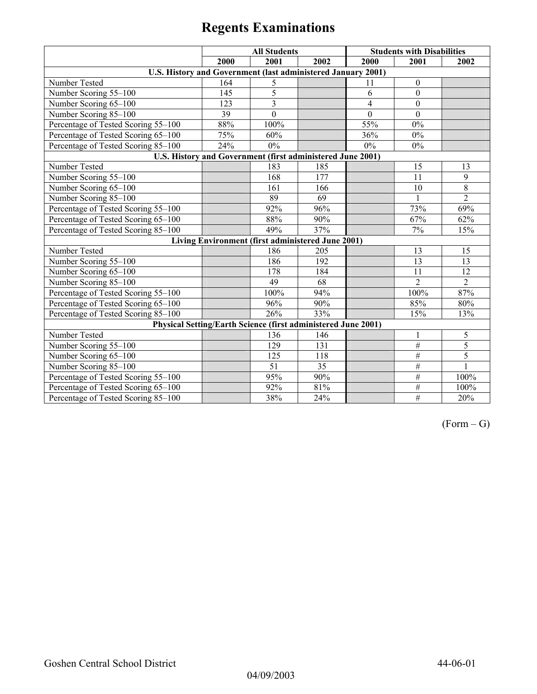|                                                               | <b>All Students</b> |                |                                                   | <b>Students with Disabilities</b> |                  |                |
|---------------------------------------------------------------|---------------------|----------------|---------------------------------------------------|-----------------------------------|------------------|----------------|
|                                                               | 2000                | 2001           | 2002                                              | 2000                              | 2001             | 2002           |
| U.S. History and Government (last administered January 2001)  |                     |                |                                                   |                                   |                  |                |
| Number Tested                                                 | 164                 | 5              |                                                   | 11                                | $\boldsymbol{0}$ |                |
| Number Scoring 55-100                                         | 145                 | 5              |                                                   | 6                                 | $\mathbf{0}$     |                |
| Number Scoring 65-100                                         | 123                 | $\overline{3}$ |                                                   | $\overline{4}$                    | $\overline{0}$   |                |
| Number Scoring 85-100                                         | 39                  | $\overline{0}$ |                                                   | $\mathbf{0}$                      | $\mathbf{0}$     |                |
| Percentage of Tested Scoring 55-100                           | 88%                 | 100%           |                                                   | 55%                               | $0\%$            |                |
| Percentage of Tested Scoring 65-100                           | 75%                 | 60%            |                                                   | 36%                               | 0%               |                |
| Percentage of Tested Scoring 85-100                           | 24%                 | $0\%$          |                                                   | $0\%$                             | $0\%$            |                |
| U.S. History and Government (first administered June 2001)    |                     |                |                                                   |                                   |                  |                |
| Number Tested                                                 |                     | 183            | 185                                               |                                   | 15               | 13             |
| Number Scoring 55-100                                         |                     | 168            | 177                                               |                                   | 11               | 9              |
| Number Scoring 65-100                                         |                     | 161            | 166                                               |                                   | 10               | $8\,$          |
| Number Scoring 85-100                                         |                     | 89             | 69                                                |                                   |                  | $\overline{2}$ |
| Percentage of Tested Scoring 55-100                           |                     | 92%            | 96%                                               |                                   | 73%              | 69%            |
| Percentage of Tested Scoring 65-100                           |                     | 88%            | 90%                                               |                                   | 67%              | 62%            |
| Percentage of Tested Scoring 85-100                           |                     | 49%            | 37%                                               |                                   | 7%               | 15%            |
|                                                               |                     |                | Living Environment (first administered June 2001) |                                   |                  |                |
| Number Tested                                                 |                     | 186            | 205                                               |                                   | 13               | 15             |
| Number Scoring 55-100                                         |                     | 186            | 192                                               |                                   | 13               | 13             |
| Number Scoring 65-100                                         |                     | 178            | 184                                               |                                   | 11               | 12             |
| Number Scoring 85-100                                         |                     | 49             | 68                                                |                                   | $\overline{2}$   | $\overline{2}$ |
| Percentage of Tested Scoring 55-100                           |                     | 100%           | 94%                                               |                                   | 100%             | 87%            |
| Percentage of Tested Scoring 65-100                           |                     | 96%            | 90%                                               |                                   | 85%              | 80%            |
| Percentage of Tested Scoring 85-100                           |                     | 26%            | 33%                                               |                                   | 15%              | 13%            |
| Physical Setting/Earth Science (first administered June 2001) |                     |                |                                                   |                                   |                  |                |
| Number Tested                                                 |                     | 136            | 146                                               |                                   | 1                | 5              |
| Number Scoring 55-100                                         |                     | 129            | 131                                               |                                   | $\overline{\#}$  | 5              |
| Number Scoring 65-100                                         |                     | 125            | 118                                               |                                   | $\#$             | 5              |
| Number Scoring 85-100                                         |                     | 51             | 35                                                |                                   | $\overline{\#}$  | $\mathbf{1}$   |
| Percentage of Tested Scoring 55-100                           |                     | 95%            | 90%                                               |                                   | $\#$             | 100%           |
| Percentage of Tested Scoring 65-100                           |                     | 92%            | 81%                                               |                                   | $\#$             | 100%           |
| Percentage of Tested Scoring 85-100                           |                     | 38%            | 24%                                               |                                   | $\overline{\#}$  | 20%            |

 $(Form - G)$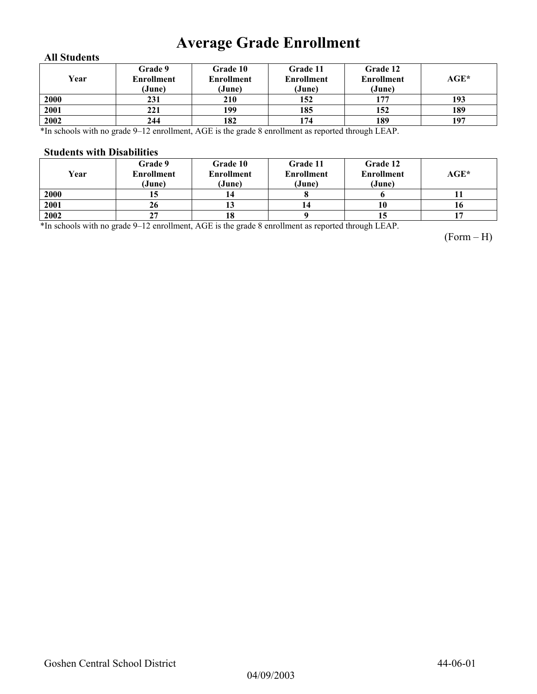# **Average Grade Enrollment**

### **All Students**

| Year | Grade 9<br>Enrollment<br>(June) | Grade 10<br><b>Enrollment</b><br>(June) | Grade 11<br>Enrollment<br>(June) | Grade 12<br><b>Enrollment</b><br>(June) | AGE* |
|------|---------------------------------|-----------------------------------------|----------------------------------|-----------------------------------------|------|
| 2000 | 231                             | 210                                     | 152                              | 177                                     | 193  |
| 2001 | 221                             | 199                                     | 185                              | 152                                     | 189  |
| 2002 | 244                             | 182                                     | 174                              | 189                                     | 197  |

\*In schools with no grade 9–12 enrollment, AGE is the grade 8 enrollment as reported through LEAP.

#### **Students with Disabilities**

| Year | Grade 9<br><b>Enrollment</b><br>(June) | <b>Grade 10</b><br><b>Enrollment</b><br>(June) | Grade 11<br><b>Enrollment</b><br>(June) | Grade 12<br><b>Enrollment</b><br>(June) | AGE* |
|------|----------------------------------------|------------------------------------------------|-----------------------------------------|-----------------------------------------|------|
| 2000 | IJ                                     |                                                |                                         |                                         |      |
| 2001 | 26                                     | ιJ                                             | 14                                      | 10                                      | 10   |
| 2002 | 27                                     | 18                                             |                                         | 15                                      |      |

\*In schools with no grade 9–12 enrollment, AGE is the grade 8 enrollment as reported through LEAP.

(Form – H)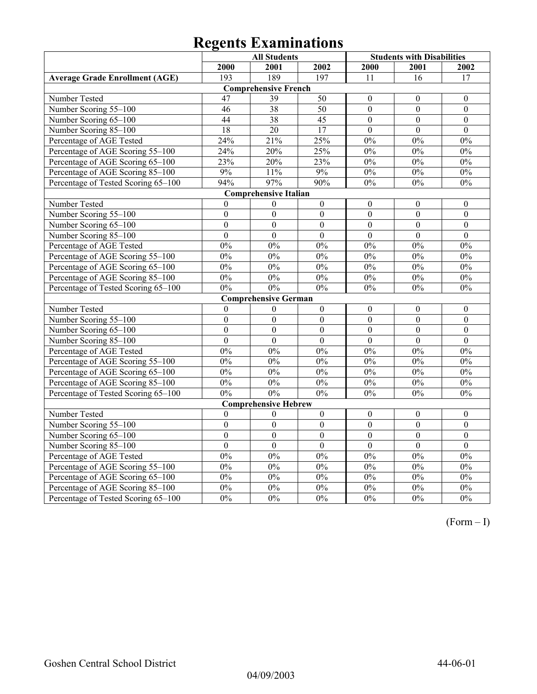|                                       | <b>All Students</b> |                              |                  | <b>Students with Disabilities</b> |                  |                  |  |
|---------------------------------------|---------------------|------------------------------|------------------|-----------------------------------|------------------|------------------|--|
|                                       | 2000                | 2001                         | 2002             | 2000                              | 2001             | 2002             |  |
| <b>Average Grade Enrollment (AGE)</b> | 193                 | 189                          | 197              | 11                                | 16               | 17               |  |
| <b>Comprehensive French</b>           |                     |                              |                  |                                   |                  |                  |  |
| Number Tested                         | 47                  | 39                           | 50               | $\boldsymbol{0}$                  | $\mathbf{0}$     | $\boldsymbol{0}$ |  |
| Number Scoring 55-100                 | 46                  | $\overline{38}$              | $\overline{50}$  | $\overline{0}$                    | $\mathbf{0}$     | $\overline{0}$   |  |
| Number Scoring 65-100                 | 44                  | $\overline{38}$              | $\overline{45}$  | $\overline{0}$                    | $\overline{0}$   | $\mathbf{0}$     |  |
| Number Scoring 85-100                 | $\overline{18}$     | 20                           | 17               | $\boldsymbol{0}$                  | $\boldsymbol{0}$ | $\boldsymbol{0}$ |  |
| Percentage of AGE Tested              | 24%                 | 21%                          | 25%              | 0%                                | 0%               | 0%               |  |
| Percentage of AGE Scoring 55-100      | 24%                 | 20%                          | 25%              | 0%                                | 0%               | 0%               |  |
| Percentage of AGE Scoring 65-100      | 23%                 | 20%                          | 23%              | $0\%$                             | $0\%$            | $0\%$            |  |
| Percentage of AGE Scoring 85-100      | 9%                  | 11%                          | $9\%$            | $0\%$                             | $0\%$            | $0\%$            |  |
| Percentage of Tested Scoring 65-100   | 94%                 | 97%                          | 90%              | 0%                                | 0%               | 0%               |  |
|                                       |                     | <b>Comprehensive Italian</b> |                  |                                   |                  |                  |  |
| Number Tested                         | $\theta$            | $\theta$                     | $\boldsymbol{0}$ | $\theta$                          | $\theta$         | $\mathbf{0}$     |  |
| Number Scoring 55-100                 | $\mathbf{0}$        | $\overline{0}$               | $\overline{0}$   | $\overline{0}$                    | $\overline{0}$   | $\overline{0}$   |  |
| Number Scoring 65-100                 | $\overline{0}$      | $\overline{0}$               | $\overline{0}$   | $\overline{0}$                    | $\overline{0}$   | $\mathbf{0}$     |  |
| Number Scoring 85-100                 | $\overline{0}$      | $\overline{0}$               | $\boldsymbol{0}$ | $\overline{0}$                    | $\mathbf{0}$     | $\boldsymbol{0}$ |  |
| Percentage of AGE Tested              | $0\%$               | $0\%$                        | $0\%$            | 0%                                | 0%               | 0%               |  |
| Percentage of AGE Scoring 55-100      | 0%                  | 0%                           | 0%               | 0%                                | 0%               | 0%               |  |
| Percentage of AGE Scoring 65-100      | 0%                  | 0%                           | 0%               | 0%                                | 0%               | 0%               |  |
| Percentage of AGE Scoring 85-100      | $0\%$               | $0\%$                        | 0%               | $0\%$                             | $0\%$            | $0\%$            |  |
| Percentage of Tested Scoring 65-100   | 0%                  | 0%                           | 0%               | 0%                                | 0%               | $0\%$            |  |
|                                       |                     | <b>Comprehensive German</b>  |                  |                                   |                  |                  |  |
| Number Tested                         | $\boldsymbol{0}$    | $\boldsymbol{0}$             | $\boldsymbol{0}$ | $\boldsymbol{0}$                  | $\boldsymbol{0}$ | $\boldsymbol{0}$ |  |
| Number Scoring 55-100                 | $\boldsymbol{0}$    | $\boldsymbol{0}$             | $\boldsymbol{0}$ | $\overline{0}$                    | $\boldsymbol{0}$ | $\boldsymbol{0}$ |  |
| Number Scoring 65-100                 | $\mathbf{0}$        | $\overline{0}$               | $\overline{0}$   | $\overline{0}$                    | $\overline{0}$   | $\overline{0}$   |  |
| Number Scoring 85-100                 | $\theta$            | $\overline{0}$               | $\theta$         | $\overline{0}$                    | $\theta$         | $\theta$         |  |
| Percentage of AGE Tested              | 0%                  | 0%                           | 0%               | 0%                                | 0%               | 0%               |  |
| Percentage of AGE Scoring 55-100      | 0%                  | $0\%$                        | 0%               | 0%                                | 0%               | 0%               |  |
| Percentage of AGE Scoring 65-100      | $0\%$               | $0\%$                        | $0\%$            | $0\%$                             | $0\%$            | $0\%$            |  |
| Percentage of AGE Scoring 85-100      | $0\%$               | $0\%$                        | 0%               | 0%                                | 0%               | 0%               |  |
| Percentage of Tested Scoring 65-100   | 0%                  | 0%                           | 0%               | 0%                                | $0\%$            | $0\%$            |  |
|                                       |                     | <b>Comprehensive Hebrew</b>  |                  |                                   |                  |                  |  |
| Number Tested                         | $\boldsymbol{0}$    | $\boldsymbol{0}$             | $\boldsymbol{0}$ | $\boldsymbol{0}$                  | $\boldsymbol{0}$ | $\boldsymbol{0}$ |  |
| Number Scoring 55-100                 | $\mathbf{0}$        | $\overline{0}$               | $\overline{0}$   | $\overline{0}$                    | $\overline{0}$   | $\overline{0}$   |  |
| Number Scoring 65-100                 | $\boldsymbol{0}$    | $\boldsymbol{0}$             | $\boldsymbol{0}$ | $\boldsymbol{0}$                  | $\boldsymbol{0}$ | $\boldsymbol{0}$ |  |
| Number Scoring 85-100                 | $\boldsymbol{0}$    | $\boldsymbol{0}$             | $\boldsymbol{0}$ | $\boldsymbol{0}$                  | $\boldsymbol{0}$ | $\boldsymbol{0}$ |  |
| Percentage of AGE Tested              | 0%                  | 0%                           | 0%               | 0%                                | 0%               | 0%               |  |
| Percentage of AGE Scoring 55-100      | 0%                  | 0%                           | 0%               | 0%                                | 0%               | 0%               |  |
| Percentage of AGE Scoring 65-100      | 0%                  | $0\%$                        | 0%               | 0%                                | 0%               | $0\%$            |  |
| Percentage of AGE Scoring 85-100      | $0\%$               | $0\%$                        | $0\%$            | $0\%$                             | $0\%$            | $0\%$            |  |
| Percentage of Tested Scoring 65-100   | 0%                  | 0%                           | 0%               | 0%                                | 0%               | $\overline{0\%}$ |  |

(Form – I)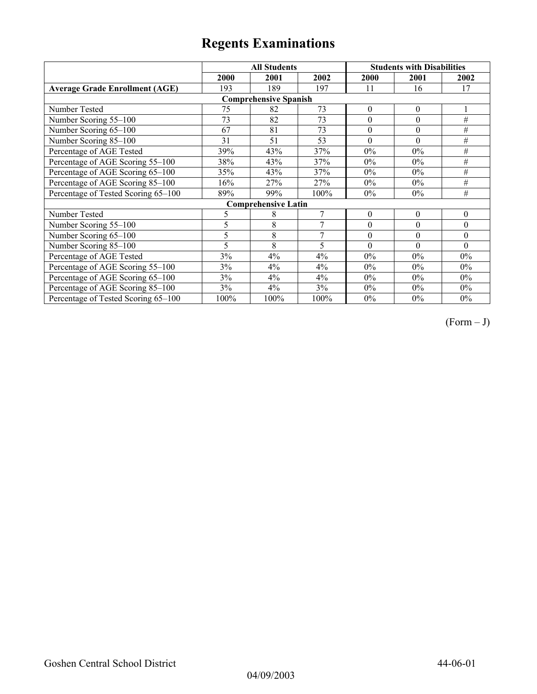|                                       |      | <b>All Students</b>        |      | <b>Students with Disabilities</b> |                  |                  |  |  |
|---------------------------------------|------|----------------------------|------|-----------------------------------|------------------|------------------|--|--|
|                                       | 2000 | 2001                       | 2002 | 2000                              | 2001             | 2002             |  |  |
| <b>Average Grade Enrollment (AGE)</b> | 193  | 189                        | 197  | 11                                | 16               | 17               |  |  |
| <b>Comprehensive Spanish</b>          |      |                            |      |                                   |                  |                  |  |  |
| Number Tested                         | 75   | 82                         | 73   | $\boldsymbol{0}$                  | $\theta$         |                  |  |  |
| Number Scoring 55-100                 | 73   | 82                         | 73   | $\boldsymbol{0}$                  | $\boldsymbol{0}$ | #                |  |  |
| Number Scoring 65-100                 | 67   | 81                         | 73   | $\theta$                          | $\theta$         | #                |  |  |
| Number Scoring 85-100                 | 31   | 51                         | 53   | $\theta$                          | $\Omega$         | #                |  |  |
| Percentage of AGE Tested              | 39%  | 43%                        | 37%  | $0\%$                             | $0\%$            | #                |  |  |
| Percentage of AGE Scoring 55-100      | 38%  | 43%                        | 37%  | $0\%$                             | $0\%$            | #                |  |  |
| Percentage of AGE Scoring 65-100      | 35%  | 43%                        | 37%  | $0\%$                             | $0\%$            | $\#$             |  |  |
| Percentage of AGE Scoring 85-100      | 16%  | 27%                        | 27%  | $0\%$                             | $0\%$            | #                |  |  |
| Percentage of Tested Scoring 65-100   | 89%  | 99%                        | 100% | $0\%$                             | $0\%$            | #                |  |  |
|                                       |      | <b>Comprehensive Latin</b> |      |                                   |                  |                  |  |  |
| Number Tested                         | 5    | 8                          | 7    | $\boldsymbol{0}$                  | $\theta$         | $\boldsymbol{0}$ |  |  |
| Number Scoring 55-100                 | 5    | 8                          | 7    | $\theta$                          | $\theta$         | $\theta$         |  |  |
| Number Scoring 65-100                 | 5    | 8                          | 7    | $\theta$                          | $\theta$         | $\theta$         |  |  |
| Number Scoring 85-100                 | 5    | 8                          | 5    | $\theta$                          | $\theta$         | $\Omega$         |  |  |
| Percentage of AGE Tested              | 3%   | 4%                         | 4%   | $0\%$                             | $0\%$            | $0\%$            |  |  |
| Percentage of AGE Scoring 55-100      | 3%   | 4%                         | 4%   | $0\%$                             | $0\%$            | $0\%$            |  |  |
| Percentage of AGE Scoring 65-100      | 3%   | 4%                         | 4%   | 0%                                | $0\%$            | $0\%$            |  |  |
| Percentage of AGE Scoring 85-100      | 3%   | 4%                         | 3%   | 0%                                | $0\%$            | $0\%$            |  |  |
| Percentage of Tested Scoring 65-100   | 100% | 100%                       | 100% | $0\%$                             | $0\%$            | $0\%$            |  |  |

 $(Form - J)$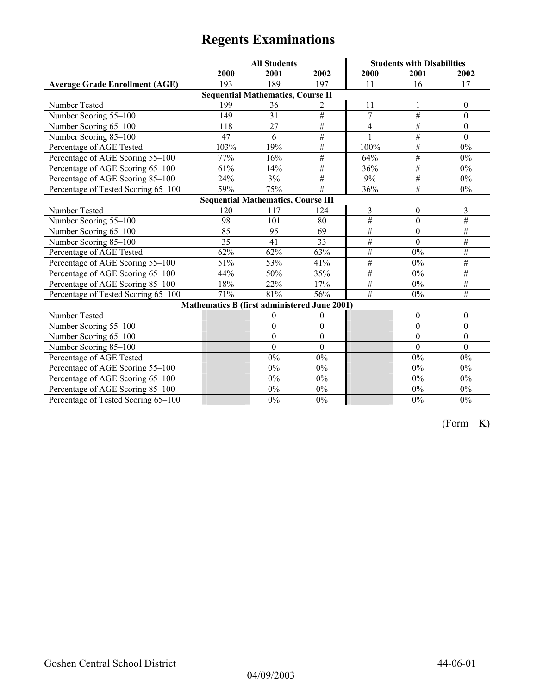|                                           | <b>All Students</b>                          |                 |                  | <b>Students with Disabilities</b> |                 |                  |  |  |
|-------------------------------------------|----------------------------------------------|-----------------|------------------|-----------------------------------|-----------------|------------------|--|--|
|                                           | 2000                                         | 2001            | 2002             | 2000                              | 2001            | 2002             |  |  |
| <b>Average Grade Enrollment (AGE)</b>     | 193                                          | 189             | 197              | 11                                | 16              | 17               |  |  |
|                                           | <b>Sequential Mathematics, Course II</b>     |                 |                  |                                   |                 |                  |  |  |
| Number Tested                             | 199                                          | 36              | 2                | 11                                |                 | $\boldsymbol{0}$ |  |  |
| Number Scoring 55-100                     | 149                                          | $\overline{31}$ | $\overline{\#}$  | $\overline{7}$                    | $\overline{\#}$ | $\mathbf{0}$     |  |  |
| Number Scoring 65-100                     | 118                                          | 27              | $\#$             | $\overline{4}$                    | $\overline{\#}$ | $\theta$         |  |  |
| Number Scoring 85-100                     | 47                                           | 6               | $\#$             |                                   | $\#$            | $\mathbf{0}$     |  |  |
| Percentage of AGE Tested                  | 103%                                         | 19%             | $\#$             | 100%                              | $\#$            | 0%               |  |  |
| Percentage of AGE Scoring 55-100          | 77%                                          | 16%             | #                | 64%                               | #               | $0\%$            |  |  |
| Percentage of AGE Scoring 65-100          | 61%                                          | 14%             | $\frac{1}{2}$    | 36%                               | $\overline{\#}$ | $0\%$            |  |  |
| Percentage of AGE Scoring 85-100          | 24%                                          | 3%              | $\#$             | 9%                                | $\overline{\#}$ | $0\%$            |  |  |
| Percentage of Tested Scoring 65-100       | 59%                                          | 75%             | $\overline{\#}$  | 36%                               | #               | $0\%$            |  |  |
| <b>Sequential Mathematics, Course III</b> |                                              |                 |                  |                                   |                 |                  |  |  |
| Number Tested                             | 120                                          | 117             | 124              | 3                                 | $\mathbf{0}$    | 3                |  |  |
| Number Scoring 55-100                     | 98                                           | 101             | 80               | $#$                               | $\mathbf{0}$    | #                |  |  |
| Number Scoring 65-100                     | 85                                           | 95              | 69               | #                                 | $\mathbf{0}$    | #                |  |  |
| Number Scoring 85-100                     | 35                                           | 41              | 33               | #                                 | $\mathbf{0}$    | $\#$             |  |  |
| Percentage of AGE Tested                  | 62%                                          | 62%             | 63%              | #                                 | $0\%$           | $\#$             |  |  |
| Percentage of AGE Scoring 55-100          | 51%                                          | 53%             | 41%              | $\#$                              | $0\%$           | #                |  |  |
| Percentage of AGE Scoring 65-100          | 44%                                          | 50%             | 35%              | $\overline{\#}$                   | $0\%$           | #                |  |  |
| Percentage of AGE Scoring 85-100          | 18%                                          | 22%             | 17%              | #                                 | $0\%$           | $\#$             |  |  |
| Percentage of Tested Scoring 65-100       | 71%                                          | 81%             | 56%              | $\overline{\#}$                   | $0\%$           | $\overline{\#}$  |  |  |
|                                           | Mathematics B (first administered June 2001) |                 |                  |                                   |                 |                  |  |  |
| Number Tested                             |                                              | $\mathbf{0}$    | $\theta$         |                                   | $\mathbf{0}$    | $\mathbf{0}$     |  |  |
| Number Scoring 55-100                     |                                              | $\mathbf{0}$    | $\mathbf{0}$     |                                   | $\mathbf{0}$    | $\mathbf{0}$     |  |  |
| Number Scoring 65-100                     |                                              | $\mathbf{0}$    | $\boldsymbol{0}$ |                                   | $\theta$        | $\mathbf{0}$     |  |  |
| Number Scoring 85-100                     |                                              | $\theta$        | $\theta$         |                                   | $\Omega$        | $\mathbf{0}$     |  |  |
| Percentage of AGE Tested                  |                                              | 0%              | $0\%$            |                                   | 0%              | $0\%$            |  |  |
| Percentage of AGE Scoring 55-100          |                                              | 0%              | $0\%$            |                                   | 0%              | $0\%$            |  |  |
| Percentage of AGE Scoring 65-100          |                                              | 0%              | $0\%$            |                                   | 0%              | $0\%$            |  |  |
| Percentage of AGE Scoring 85-100          |                                              | $0\%$           | $0\%$            |                                   | $0\%$           | $0\%$            |  |  |
| Percentage of Tested Scoring 65-100       |                                              | $0\%$           | $0\%$            |                                   | $0\%$           | $0\%$            |  |  |

 $(Form - K)$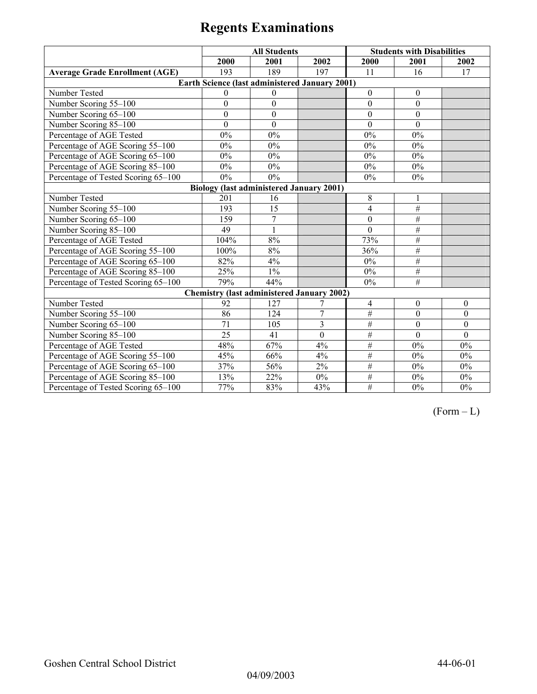|                                                 | <b>All Students</b> |                  |                                                   | <b>Students with Disabilities</b> |                  |              |  |  |
|-------------------------------------------------|---------------------|------------------|---------------------------------------------------|-----------------------------------|------------------|--------------|--|--|
|                                                 | 2000                | 2001             | 2002                                              | 2000                              | 2001             | 2002         |  |  |
| <b>Average Grade Enrollment (AGE)</b>           | 193                 | 189              | 197                                               | 11                                | 16               | 17           |  |  |
|                                                 |                     |                  | Earth Science (last administered January 2001)    |                                   |                  |              |  |  |
| Number Tested                                   | $\Omega$            | $\Omega$         |                                                   | $\theta$                          | $\theta$         |              |  |  |
| Number Scoring 55-100                           | $\mathbf{0}$        | $\mathbf{0}$     |                                                   | $\theta$                          | $\mathbf{0}$     |              |  |  |
| Number Scoring 65-100                           | $\theta$            | $\boldsymbol{0}$ |                                                   | $\theta$                          | $\mathbf{0}$     |              |  |  |
| Number Scoring 85-100                           | $\theta$            | $\mathbf{0}$     |                                                   | $\Omega$                          | $\Omega$         |              |  |  |
| Percentage of AGE Tested                        | 0%                  | 0%               |                                                   | 0%                                | 0%               |              |  |  |
| Percentage of AGE Scoring 55-100                | 0%                  | 0%               |                                                   | 0%                                | 0%               |              |  |  |
| Percentage of AGE Scoring 65-100                | $0\%$               | $0\%$            |                                                   | $0\%$                             | $0\%$            |              |  |  |
| Percentage of AGE Scoring 85-100                | $0\%$               | $0\%$            |                                                   | $0\%$                             | $0\%$            |              |  |  |
| Percentage of Tested Scoring 65-100             | $0\%$               | 0%               |                                                   | $0\%$                             | 0%               |              |  |  |
| <b>Biology (last administered January 2001)</b> |                     |                  |                                                   |                                   |                  |              |  |  |
| Number Tested                                   | 201                 | 16               |                                                   | $8\,$                             |                  |              |  |  |
| Number Scoring 55-100                           | 193                 | 15               |                                                   | $\overline{4}$                    | $\#$             |              |  |  |
| Number Scoring 65-100                           | 159                 | $\overline{7}$   |                                                   | $\theta$                          | $\#$             |              |  |  |
| Number Scoring 85-100                           | 49                  | $\mathbf{1}$     |                                                   | $\overline{0}$                    | $\overline{\#}$  |              |  |  |
| Percentage of AGE Tested                        | 104%                | 8%               |                                                   | 73%                               | #                |              |  |  |
| Percentage of AGE Scoring 55-100                | 100%                | 8%               |                                                   | 36%                               | #                |              |  |  |
| Percentage of AGE Scoring 65-100                | 82%                 | 4%               |                                                   | $0\%$                             | $\#$             |              |  |  |
| Percentage of AGE Scoring 85-100                | 25%                 | $1\%$            |                                                   | $0\%$                             | #                |              |  |  |
| Percentage of Tested Scoring 65-100             | 79%                 | 44%              |                                                   | $0\%$                             | $\overline{\#}$  |              |  |  |
|                                                 |                     |                  | <b>Chemistry (last administered January 2002)</b> |                                   |                  |              |  |  |
| Number Tested                                   | 92                  | 127              | 7                                                 | $\overline{4}$                    | $\boldsymbol{0}$ | $\Omega$     |  |  |
| Number Scoring 55-100                           | 86                  | 124              | $\overline{7}$                                    | $\overline{\#}$                   | $\boldsymbol{0}$ | $\theta$     |  |  |
| Number Scoring 65-100                           | 71                  | 105              | $\overline{3}$                                    | #                                 | $\boldsymbol{0}$ | $\mathbf{0}$ |  |  |
| Number Scoring 85-100                           | 25                  | 41               | $\mathbf{0}$                                      | $\overline{\#}$                   | $\mathbf{0}$     | $\mathbf{0}$ |  |  |
| Percentage of AGE Tested                        | 48%                 | 67%              | 4%                                                | #                                 | $0\%$            | 0%           |  |  |
| Percentage of AGE Scoring 55-100                | 45%                 | 66%              | 4%                                                | #                                 | $0\%$            | $0\%$        |  |  |
| Percentage of AGE Scoring 65-100                | 37%                 | 56%              | 2%                                                | #                                 | $0\%$            | 0%           |  |  |
| Percentage of AGE Scoring 85-100                | 13%                 | 22%              | $0\%$                                             | $\overline{\#}$                   | $0\%$            | $0\%$        |  |  |
| Percentage of Tested Scoring 65-100             | 77%                 | 83%              | 43%                                               | $\overline{\#}$                   | $0\%$            | $0\%$        |  |  |

 $(Form - L)$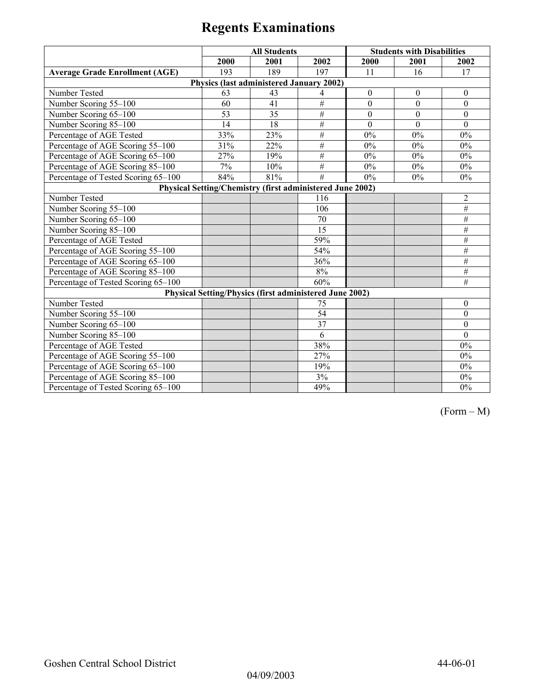|                                                           | <b>All Students</b> |                                                                |                 |                  | <b>Students with Disabilities</b> |                  |  |
|-----------------------------------------------------------|---------------------|----------------------------------------------------------------|-----------------|------------------|-----------------------------------|------------------|--|
|                                                           | 2000                | 2001                                                           | 2002            | 2000             | 2001                              | 2002             |  |
| <b>Average Grade Enrollment (AGE)</b>                     | 193                 | 189                                                            | 197             | 11               | 16                                | 17               |  |
|                                                           |                     | Physics (last administered January 2002)                       |                 |                  |                                   |                  |  |
| Number Tested                                             | 63                  | 43                                                             | 4               | $\boldsymbol{0}$ | $\boldsymbol{0}$                  | $\boldsymbol{0}$ |  |
| Number Scoring 55-100                                     | 60                  | 41                                                             | $\#$            | $\overline{0}$   | $\mathbf{0}$                      | $\mathbf{0}$     |  |
| Number Scoring 65-100                                     | 53                  | 35                                                             | $\overline{\#}$ | $\boldsymbol{0}$ | $\boldsymbol{0}$                  | $\boldsymbol{0}$ |  |
| Number Scoring 85-100                                     | 14                  | 18                                                             | $\#$            | $\Omega$         | $\Omega$                          | $\theta$         |  |
| Percentage of AGE Tested                                  | 33%                 | 23%                                                            | #               | 0%               | 0%                                | $0\%$            |  |
| Percentage of AGE Scoring 55-100                          | 31%                 | 22%                                                            | $\overline{\#}$ | 0%               | 0%                                | $0\%$            |  |
| Percentage of AGE Scoring 65-100                          | 27%                 | 19%                                                            | $\#$            | $0\%$            | $0\%$                             | $0\%$            |  |
| Percentage of AGE Scoring 85-100                          | 7%                  | 10%                                                            | $\#$            | $0\%$            | $0\%$                             | $0\%$            |  |
| Percentage of Tested Scoring 65-100                       | 84%                 | 81%                                                            | $\overline{H}$  | $0\%$            | 0%                                | 0%               |  |
| Physical Setting/Chemistry (first administered June 2002) |                     |                                                                |                 |                  |                                   |                  |  |
| Number Tested                                             |                     |                                                                | 116             |                  |                                   | $\overline{2}$   |  |
| Number Scoring 55-100                                     |                     |                                                                | 106             |                  |                                   | #                |  |
| Number Scoring 65-100                                     |                     |                                                                | 70              |                  |                                   | $\#$             |  |
| Number Scoring 85-100                                     |                     |                                                                | $\overline{15}$ |                  |                                   | $\#$             |  |
| Percentage of AGE Tested                                  |                     |                                                                | 59%             |                  |                                   | #                |  |
| Percentage of AGE Scoring 55-100                          |                     |                                                                | 54%             |                  |                                   | $\#$             |  |
| Percentage of AGE Scoring 65-100                          |                     |                                                                | 36%             |                  |                                   | #                |  |
| Percentage of AGE Scoring 85-100                          |                     |                                                                | $8\%$           |                  |                                   | $\#$             |  |
| Percentage of Tested Scoring 65-100                       |                     |                                                                | 60%             |                  |                                   | #                |  |
|                                                           |                     | <b>Physical Setting/Physics (first administered June 2002)</b> |                 |                  |                                   |                  |  |
| Number Tested                                             |                     |                                                                | 75              |                  |                                   | $\theta$         |  |
| Number Scoring 55-100                                     |                     |                                                                | $\overline{54}$ |                  |                                   | $\overline{0}$   |  |
| Number Scoring 65-100                                     |                     |                                                                | 37              |                  |                                   | $\boldsymbol{0}$ |  |
| Number Scoring 85-100                                     |                     |                                                                | 6               |                  |                                   | $\theta$         |  |
| Percentage of AGE Tested                                  |                     |                                                                | 38%             |                  |                                   | $0\%$            |  |
| Percentage of AGE Scoring 55-100                          |                     |                                                                | 27%             |                  |                                   | 0%               |  |
| Percentage of AGE Scoring 65-100                          |                     |                                                                | 19%             |                  |                                   | $0\%$            |  |
| Percentage of AGE Scoring 85-100                          |                     |                                                                | 3%              |                  |                                   | $0\%$            |  |
| Percentage of Tested Scoring 65-100                       |                     |                                                                | 49%             |                  |                                   | 0%               |  |

(Form – M)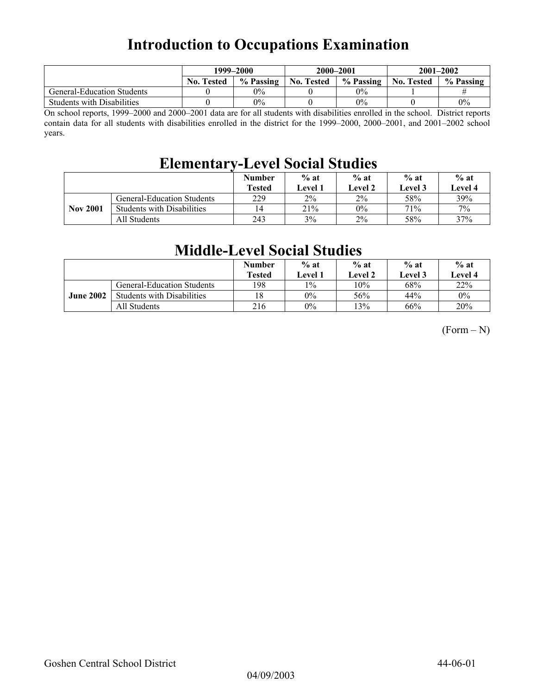## **Introduction to Occupations Examination**

|                                   | 1999–2000         |           |            | 2000–2001 | $2001 - 2002$     |           |
|-----------------------------------|-------------------|-----------|------------|-----------|-------------------|-----------|
|                                   | <b>No. Tested</b> | % Passing | No. Tested | % Passing | <b>No. Tested</b> | % Passing |
| <b>General-Education Students</b> |                   | $0\%$     |            | $0\%$     |                   |           |
| <b>Students with Disabilities</b> |                   | $0\%$     |            | $0\%$     |                   | 0%        |

On school reports, 1999–2000 and 2000–2001 data are for all students with disabilities enrolled in the school. District reports contain data for all students with disabilities enrolled in the district for the 1999–2000, 2000–2001, and 2001–2002 school years.

## **Elementary-Level Social Studies**

|                 |                                   | <b>Number</b><br><b>Tested</b> | $%$ at<br><b>Level 1</b> | $%$ at<br><b>Level 2</b> | $%$ at<br>Level 3 | $%$ at<br><b>Level 4</b> |
|-----------------|-----------------------------------|--------------------------------|--------------------------|--------------------------|-------------------|--------------------------|
|                 | <b>General-Education Students</b> | 229                            | $2\%$                    | $2\%$                    | 58%               | 39%                      |
| <b>Nov 2001</b> | <b>Students with Disabilities</b> | 14                             | 21%                      | $0\%$                    | 71%               | 7%                       |
|                 | All Students                      | 243                            | 3%                       | 2%                       | 58%               | 37%                      |

## **Middle-Level Social Studies**

|                  |                                   | Number<br><b>Tested</b> | $%$ at<br>Level 1 | $%$ at<br>Level 2 | $%$ at<br>Level 3 | $%$ at<br><b>Level 4</b> |
|------------------|-----------------------------------|-------------------------|-------------------|-------------------|-------------------|--------------------------|
|                  | <b>General-Education Students</b> | 198                     | $1\%$             | 10%               | 68%               | 22%                      |
| <b>June 2002</b> | <b>Students with Disabilities</b> | 18                      | $0\%$             | 56%               | 44%               | $0\%$                    |
|                  | All Students                      | 216                     | $0\%$             | 13%               | 66%               | 20%                      |

 $(Form - N)$